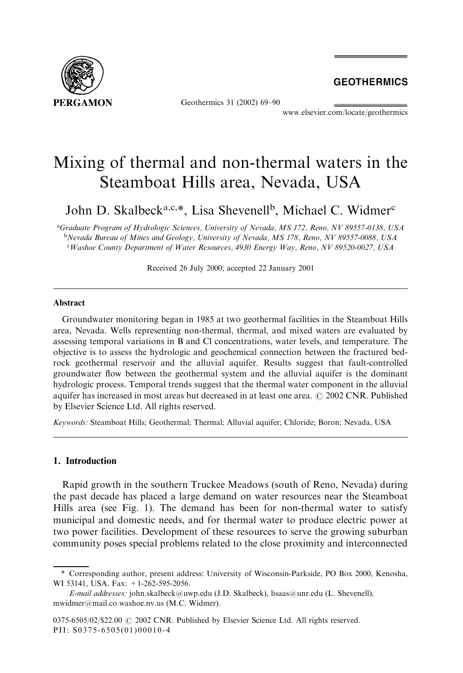

Geothermics 31 (2002) 69–90

**GEOTHERMICS** 

www.elsevier.com/locate/geothermics

# Mixing of thermal and non-thermal waters in the Steamboat Hills area, Nevada, USA

John D. Skalbeck<sup>a,c,\*</sup>, Lisa Shevenell<sup>b</sup>, Michael C. Widmer<sup>c</sup>

a Graduate Program of Hydrologic Sciences, University of Nevada, MS 172, Reno, NV 89557-0138, USA <sup>b</sup>Nevada Bureau of Mines and Geology, University of Nevada, MS 178, Reno, NV 89557-0088, USA c Washoe County Department of Water Resources, 4930 Energy Way, Reno, NV 89520-0027, USA

Received 26 July 2000; accepted 22 January 2001

## Abstract

Groundwater monitoring began in 1985 at two geothermal facilities in the Steamboat Hills area, Nevada. Wells representing non-thermal, thermal, and mixed waters are evaluated by assessing temporal variations in B and Cl concentrations, water levels, and temperature. The objective is to assess the hydrologic and geochemical connection between the fractured bedrock geothermal reservoir and the alluvial aquifer. Results suggest that fault-controlled groundwater flow between the geothermal system and the alluvial aquifer is the dominant hydrologic process. Temporal trends suggest that the thermal water component in the alluvial aquifer has increased in most areas but decreased in at least one area.  $\odot$  2002 CNR. Published by Elsevier Science Ltd. All rights reserved.

Keywords: Steamboat Hills; Geothermal; Thermal; Alluvial aquifer; Chloride; Boron; Nevada, USA

# 1. Introduction

Rapid growth in the southern Truckee Meadows (south of Reno, Nevada) during the past decade has placed a large demand on water resources near the Steamboat Hills area (see Fig. 1). The demand has been for non-thermal water to satisfy municipal and domestic needs, and for thermal water to produce electric power at two power facilities. Development of these resources to serve the growing suburban community poses special problems related to the close proximity and interconnected

<sup>\*</sup>Corresponding author, present address: University of Wisconsin-Parkside, PO Box 2000, Kenosha, WI 53141, USA. Fax: +1-262-595-2056.

E-mail addresses: john.skalbeck@uwp.edu (J.D. Skalbeck), lisaas@unr.edu (L. Shevenell), mwidmer@mail.co.washoe.nv.us (M.C. Widmer).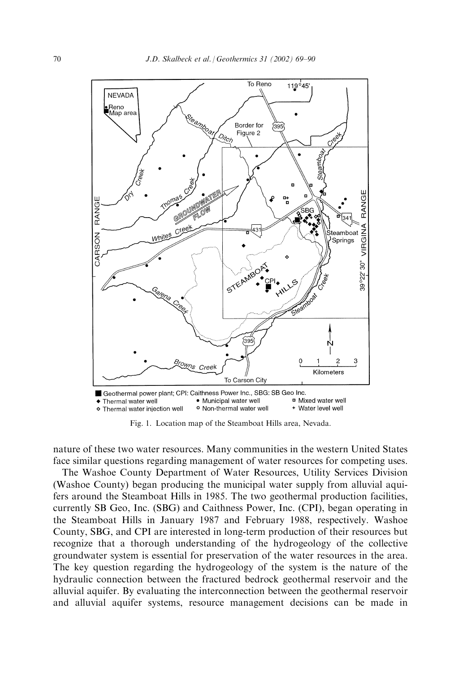

Fig. 1. Location map of the Steamboat Hills area, Nevada.

nature of these two water resources. Many communities in the western United States face similar questions regarding management of water resources for competing uses.

The Washoe County Department of Water Resources, Utility Services Division (Washoe County) began producing the municipal water supply from alluvial aquifers around the Steamboat Hills in 1985. The two geothermal production facilities, currently SB Geo, Inc. (SBG) and Caithness Power, Inc. (CPI), began operating in the Steamboat Hills in January 1987 and February 1988, respectively. Washoe County, SBG, and CPI are interested in long-term production of their resources but recognize that a thorough understanding of the hydrogeology of the collective groundwater system is essential for preservation of the water resources in the area. The key question regarding the hydrogeology of the system is the nature of the hydraulic connection between the fractured bedrock geothermal reservoir and the alluvial aquifer. By evaluating the interconnection between the geothermal reservoir and alluvial aquifer systems, resource management decisions can be made in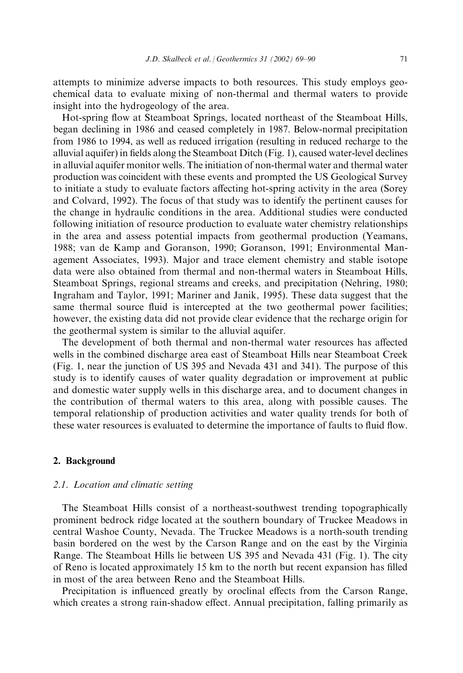attempts to minimize adverse impacts to both resources. This study employs geochemical data to evaluate mixing of non-thermal and thermal waters to provide insight into the hydrogeology of the area.

Hot-spring flow at Steamboat Springs, located northeast of the Steamboat Hills, began declining in 1986 and ceased completely in 1987. Below-normal precipitation from 1986 to 1994, as well as reduced irrigation (resulting in reduced recharge to the alluvial aquifer) in fields along the Steamboat Ditch (Fig. 1), caused water-level declines in alluvial aquifer monitor wells. The initiation of non-thermal water and thermal water production was coincident with these events and prompted the US Geological Survey to initiate a study to evaluate factors affecting hot-spring activity in the area (Sorey and Colvard, 1992). The focus of that study was to identify the pertinent causes for the change in hydraulic conditions in the area. Additional studies were conducted following initiation of resource production to evaluate water chemistry relationships in the area and assess potential impacts from geothermal production (Yeamans, 1988; van de Kamp and Goranson, 1990; Goranson, 1991; Environmental Management Associates, 1993). Major and trace element chemistry and stable isotope data were also obtained from thermal and non-thermal waters in Steamboat Hills, Steamboat Springs, regional streams and creeks, and precipitation (Nehring, 1980; Ingraham and Taylor, 1991; Mariner and Janik, 1995). These data suggest that the same thermal source fluid is intercepted at the two geothermal power facilities; however, the existing data did not provide clear evidence that the recharge origin for the geothermal system is similar to the alluvial aquifer.

The development of both thermal and non-thermal water resources has affected wells in the combined discharge area east of Steamboat Hills near Steamboat Creek (Fig. 1, near the junction of US 395 and Nevada 431 and 341). The purpose of this study is to identify causes of water quality degradation or improvement at public and domestic water supply wells in this discharge area, and to document changes in the contribution of thermal waters to this area, along with possible causes. The temporal relationship of production activities and water quality trends for both of these water resources is evaluated to determine the importance of faults to fluid flow.

## 2. Background

#### 2.1. Location and climatic setting

The Steamboat Hills consist of a northeast-southwest trending topographically prominent bedrock ridge located at the southern boundary of Truckee Meadows in central Washoe County, Nevada. The Truckee Meadows is a north-south trending basin bordered on the west by the Carson Range and on the east by the Virginia Range. The Steamboat Hills lie between US 395 and Nevada 431 (Fig. 1). The city of Reno is located approximately 15 km to the north but recent expansion has filled in most of the area between Reno and the Steamboat Hills.

Precipitation is influenced greatly by oroclinal effects from the Carson Range, which creates a strong rain-shadow effect. Annual precipitation, falling primarily as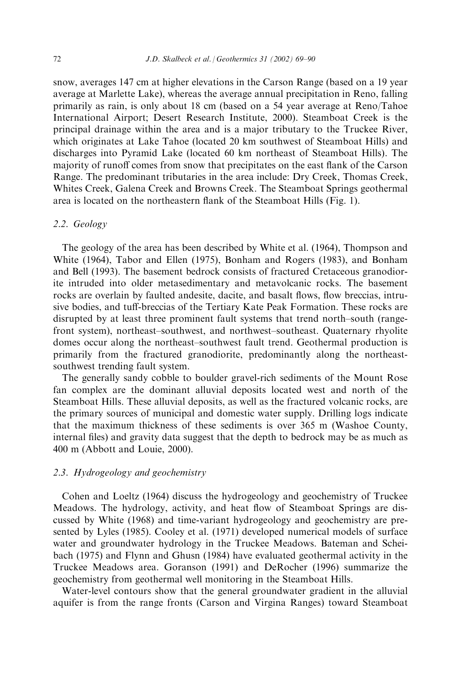snow, averages 147 cm at higher elevations in the Carson Range (based on a 19 year average at Marlette Lake), whereas the average annual precipitation in Reno, falling primarily as rain, is only about 18 cm (based on a 54 year average at Reno/Tahoe International Airport; Desert Research Institute, 2000). Steamboat Creek is the principal drainage within the area and is a major tributary to the Truckee River, which originates at Lake Tahoe (located 20 km southwest of Steamboat Hills) and discharges into Pyramid Lake (located 60 km northeast of Steamboat Hills). The majority of runoff comes from snow that precipitates on the east flank of the Carson Range. The predominant tributaries in the area include: Dry Creek, Thomas Creek, Whites Creek, Galena Creek and Browns Creek. The Steamboat Springs geothermal area is located on the northeastern flank of the Steamboat Hills (Fig. 1).

# 2.2. Geology

The geology of the area has been described by White et al. (1964), Thompson and White (1964), Tabor and Ellen (1975), Bonham and Rogers (1983), and Bonham and Bell (1993). The basement bedrock consists of fractured Cretaceous granodiorite intruded into older metasedimentary and metavolcanic rocks. The basement rocks are overlain by faulted andesite, dacite, and basalt flows, flow breccias, intrusive bodies, and tuff-breccias of the Tertiary Kate Peak Formation. These rocks are disrupted by at least three prominent fault systems that trend north–south (rangefront system), northeast–southwest, and northwest–southeast. Quaternary rhyolite domes occur along the northeast–southwest fault trend. Geothermal production is primarily from the fractured granodiorite, predominantly along the northeastsouthwest trending fault system.

The generally sandy cobble to boulder gravel-rich sediments of the Mount Rose fan complex are the dominant alluvial deposits located west and north of the Steamboat Hills. These alluvial deposits, as well as the fractured volcanic rocks, are the primary sources of municipal and domestic water supply. Drilling logs indicate that the maximum thickness of these sediments is over 365 m (Washoe County, internal files) and gravity data suggest that the depth to bedrock may be as much as 400 m (Abbott and Louie, 2000).

# 2.3. Hydrogeology and geochemistry

Cohen and Loeltz (1964) discuss the hydrogeology and geochemistry of Truckee Meadows. The hydrology, activity, and heat flow of Steamboat Springs are discussed by White (1968) and time-variant hydrogeology and geochemistry are presented by Lyles (1985). Cooley et al. (1971) developed numerical models of surface water and groundwater hydrology in the Truckee Meadows. Bateman and Scheibach (1975) and Flynn and Ghusn (1984) have evaluated geothermal activity in the Truckee Meadows area. Goranson (1991) and DeRocher (1996) summarize the geochemistry from geothermal well monitoring in the Steamboat Hills.

Water-level contours show that the general groundwater gradient in the alluvial aquifer is from the range fronts (Carson and Virgina Ranges) toward Steamboat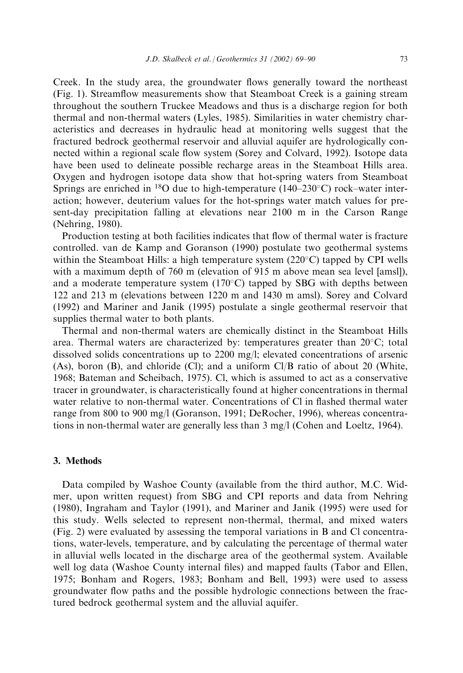Creek. In the study area, the groundwater flows generally toward the northeast (Fig. 1). Streamflow measurements show that Steamboat Creek is a gaining stream throughout the southern Truckee Meadows and thus is a discharge region for both thermal and non-thermal waters (Lyles, 1985). Similarities in water chemistry characteristics and decreases in hydraulic head at monitoring wells suggest that the fractured bedrock geothermal reservoir and alluvial aquifer are hydrologically connected within a regional scale flow system (Sorey and Colvard, 1992). Isotope data have been used to delineate possible recharge areas in the Steamboat Hills area. Oxygen and hydrogen isotope data show that hot-spring waters from Steamboat Springs are enriched in <sup>18</sup>O due to high-temperature (140–230°C) rock–water interaction; however, deuterium values for the hot-springs water match values for present-day precipitation falling at elevations near 2100 m in the Carson Range (Nehring, 1980).

Production testing at both facilities indicates that flow of thermal water is fracture controlled. van de Kamp and Goranson (1990) postulate two geothermal systems within the Steamboat Hills: a high temperature system  $(220^{\circ}C)$  tapped by CPI wells with a maximum depth of 760 m (elevation of 915 m above mean sea level [amsl]), and a moderate temperature system  $(170^{\circ}C)$  tapped by SBG with depths between 122 and 213 m (elevations between 1220 m and 1430 m amsl). Sorey and Colvard (1992) and Mariner and Janik (1995) postulate a single geothermal reservoir that supplies thermal water to both plants.

Thermal and non-thermal waters are chemically distinct in the Steamboat Hills area. Thermal waters are characterized by: temperatures greater than  $20^{\circ}$ C; total dissolved solids concentrations up to 2200 mg/l; elevated concentrations of arsenic (As), boron (B), and chloride (Cl); and a uniform Cl/B ratio of about 20 (White, 1968; Bateman and Scheibach, 1975). Cl, which is assumed to act as a conservative tracer in groundwater, is characteristically found at higher concentrations in thermal water relative to non-thermal water. Concentrations of Cl in flashed thermal water range from 800 to 900 mg/l (Goranson, 1991; DeRocher, 1996), whereas concentrations in non-thermal water are generally less than 3 mg/l (Cohen and Loeltz, 1964).

## 3. Methods

Data compiled by Washoe County (available from the third author, M.C. Widmer, upon written request) from SBG and CPI reports and data from Nehring (1980), Ingraham and Taylor (1991), and Mariner and Janik (1995) were used for this study. Wells selected to represent non-thermal, thermal, and mixed waters (Fig. 2) were evaluated by assessing the temporal variations in B and Cl concentrations, water-levels, temperature, and by calculating the percentage of thermal water in alluvial wells located in the discharge area of the geothermal system. Available well log data (Washoe County internal files) and mapped faults (Tabor and Ellen, 1975; Bonham and Rogers, 1983; Bonham and Bell, 1993) were used to assess groundwater flow paths and the possible hydrologic connections between the fractured bedrock geothermal system and the alluvial aquifer.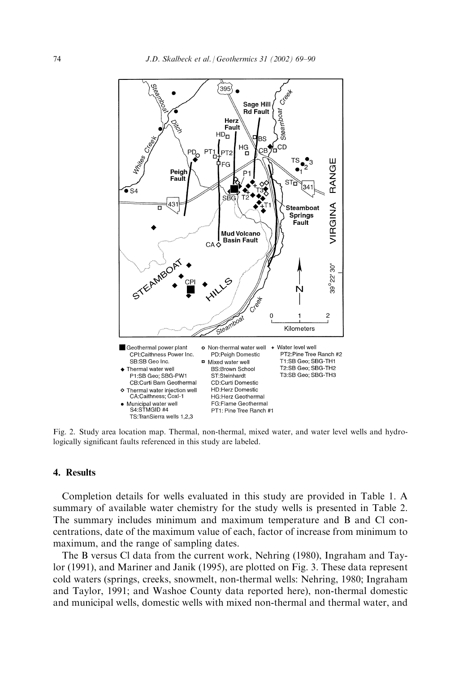

Fig. 2. Study area location map. Thermal, non-thermal, mixed water, and water level wells and hydrologically significant faults referenced in this study are labeled.

## 4. Results

Completion details for wells evaluated in this study are provided in Table 1. A summary of available water chemistry for the study wells is presented in Table 2. The summary includes minimum and maximum temperature and B and Cl concentrations, date of the maximum value of each, factor of increase from minimum to maximum, and the range of sampling dates.

The B versus Cl data from the current work, Nehring (1980), Ingraham and Taylor (1991), and Mariner and Janik (1995), are plotted on Fig. 3. These data represent cold waters (springs, creeks, snowmelt, non-thermal wells: Nehring, 1980; Ingraham and Taylor, 1991; and Washoe County data reported here), non-thermal domestic and municipal wells, domestic wells with mixed non-thermal and thermal water, and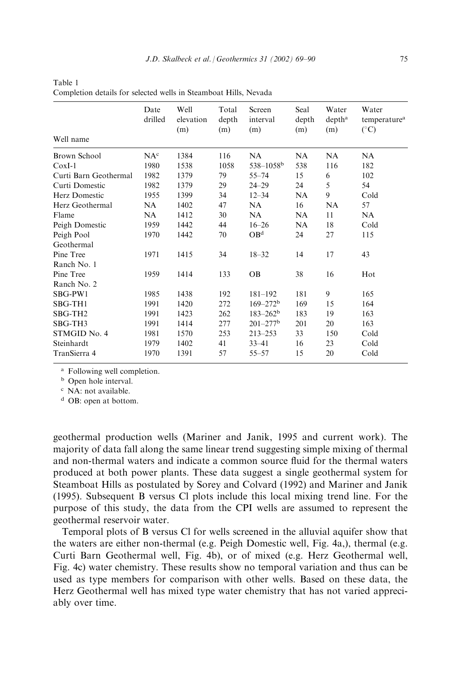| Well name             | Date<br>drilled | Well<br>elevation<br>(m) | Total<br>depth<br>(m) | Screen<br>interval<br>(m) | Seal<br>depth<br>(m) | Water<br>depth <sup>a</sup><br>(m) | Water<br>temperature <sup>a</sup><br>$(^{\circ}C)$ |
|-----------------------|-----------------|--------------------------|-----------------------|---------------------------|----------------------|------------------------------------|----------------------------------------------------|
| <b>Brown School</b>   | NA <sup>c</sup> | 1384                     | 116                   | NA                        | NA                   | NA                                 | NA                                                 |
| $CoxI-1$              | 1980            | 1538                     | 1058                  | $538 - 1058$ <sup>b</sup> | 538                  | 116                                | 182                                                |
| Curti Barn Geothermal | 1982            | 1379                     | 79                    | $55 - 74$                 | 15                   | 6                                  | 102                                                |
| Curti Domestic        | 1982            | 1379                     | 29                    | $24 - 29$                 | 24                   | 5                                  | 54                                                 |
| Herz Domestic         | 1955            | 1399                     | 34                    | $12 - 34$                 | NA                   | 9                                  | Cold                                               |
| Herz Geothermal       | NA              | 1402                     | 47                    | NA                        | 16                   | NA                                 | 57                                                 |
| Flame                 | NA.             | 1412                     | 30                    | NA.                       | <b>NA</b>            | 11                                 | NA                                                 |
| Peigh Domestic        | 1959            | 1442                     | 44                    | $16 - 26$                 | NA                   | 18                                 | Cold                                               |
| Peigh Pool            | 1970            | 1442                     | 70                    | OB <sup>d</sup>           | 24                   | 27                                 | 115                                                |
| Geothermal            |                 |                          |                       |                           |                      |                                    |                                                    |
| Pine Tree             | 1971            | 1415                     | 34                    | $18 - 32$                 | 14                   | 17                                 | 43                                                 |
| Ranch No. 1           |                 |                          |                       |                           |                      |                                    |                                                    |
| Pine Tree             | 1959            | 1414                     | 133                   | <b>OB</b>                 | 38                   | 16                                 | Hot                                                |
| Ranch No. 2           |                 |                          |                       |                           |                      |                                    |                                                    |
| SBG-PW1               | 1985            | 1438                     | 192                   | $181 - 192$               | 181                  | 9                                  | 165                                                |
| SBG-TH1               | 1991            | 1420                     | 272                   | $169 - 272^b$             | 169                  | 15                                 | 164                                                |
| SBG-TH <sub>2</sub>   | 1991            | 1423                     | 262                   | $183 - 262^b$             | 183                  | 19                                 | 163                                                |
| SBG-TH3               | 1991            | 1414                     | 277                   | $201 - 277$ <sup>b</sup>  | 201                  | 20                                 | 163                                                |
| STMGID No. 4          | 1981            | 1570                     | 253                   | $213 - 253$               | 33                   | 150                                | Cold                                               |
| Steinhardt            | 1979            | 1402                     | 41                    | $33 - 41$                 | 16                   | 23                                 | Cold                                               |
| TranSierra 4          | 1970            | 1391                     | 57                    | $55 - 57$                 | 15                   | 20                                 | Cold                                               |
|                       |                 |                          |                       |                           |                      |                                    |                                                    |

Table 1 Completion details for selected wells in Steamboat Hills, Nevada

<sup>a</sup> Following well completion.

**b** Open hole interval.

<sup>c</sup> NA: not available.

<sup>d</sup> OB: open at bottom.

geothermal production wells (Mariner and Janik, 1995 and current work). The majority of data fall along the same linear trend suggesting simple mixing of thermal and non-thermal waters and indicate a common source fluid for the thermal waters produced at both power plants. These data suggest a single geothermal system for Steamboat Hills as postulated by Sorey and Colvard (1992) and Mariner and Janik (1995). Subsequent B versus Cl plots include this local mixing trend line. For the purpose of this study, the data from the CPI wells are assumed to represent the geothermal reservoir water.

Temporal plots of B versus Cl for wells screened in the alluvial aquifer show that the waters are either non-thermal (e.g. Peigh Domestic well, Fig. 4a,), thermal (e.g. Curti Barn Geothermal well, Fig. 4b), or of mixed (e.g. Herz Geothermal well, Fig. 4c) water chemistry. These results show no temporal variation and thus can be used as type members for comparison with other wells. Based on these data, the Herz Geothermal well has mixed type water chemistry that has not varied appreciably over time.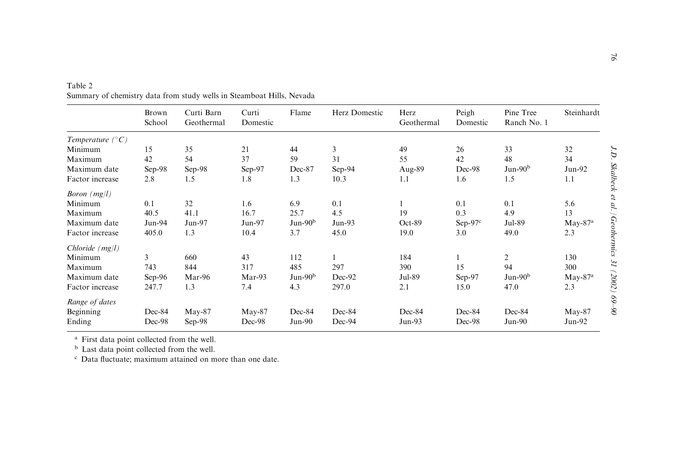|                           | Brown<br>School | Curti Barn<br>Geothermal | Curti<br>Domestic | Flame     | Herz Domestic | Herz<br>Geothermal | Peigh<br>Domestic | Pine Tree<br>Ranch No. 1 | Steinhardt |
|---------------------------|-----------------|--------------------------|-------------------|-----------|---------------|--------------------|-------------------|--------------------------|------------|
| Temperature $(^{\circ}C)$ |                 |                          |                   |           |               |                    |                   |                          |            |
| Minimum                   | 15              | 35                       | 21                | 44        | 3             | 49                 | 26                | 33                       | 32         |
| Maximum                   | 42              | 54                       | 37                | 59        | 31            | 55                 | 42                | 48                       | 34         |
| Maximum date              | $Sep-98$        | Sep-98                   | Sep-97            | Dec-87    | Sep-94        | Aug-89             | Dec-98            | $Jun-90b$                | $Jun-92$   |
| Factor increase           | 2.8             | 1.5                      | 1.8               | 1.3       | 10.3          | 1.1                | 1.6               | 1.5                      | 1.1        |
| <i>Boron</i> $(mg/l)$     |                 |                          |                   |           |               |                    |                   |                          |            |
| Minimum                   | 0.1             | 32                       | 1.6               | 6.9       | 0.1           |                    | 0.1               | 0.1                      | 5.6        |
| Maximum                   | 40.5            | 41.1                     | 16.7              | 25.7      | 4.5           | 19                 | 0.3               | 4.9                      | 13         |
| Maximum date              | Jun-94          | Jun-97                   | $Jun-97$          | $Jun-90b$ | $Jun-93$      | $Oct-89$           | Sep- $97c$        | Jul-89                   | $May-87a$  |
| Factor increase           | 405.0           | 1.3                      | 10.4              | 3.7       | 45.0          | 19.0               | 3.0               | 49.0                     | 2.3        |
| $Chloride$ ( $mg/l$ )     |                 |                          |                   |           |               |                    |                   |                          |            |
| Minimum                   | 3               | 660                      | 43                | 112       |               | 184                |                   | 2                        | 130        |
| Maximum                   | 743             | 844                      | 317               | 485       | 297           | 390                | 15                | 94                       | 300        |
| Maximum date              | $Sep-96$        | Mar-96                   | Mar-93            | $Jun-90b$ | Dec-92        | Jul-89             | $Sep-97$          | $Jun-90b$                | $May-87a$  |
| Factor increase           | 247.7           | 1.3                      | 7.4               | 4.3       | 297.0         | 2.1                | 15.0              | 47.0                     | 2.3        |
| Range of dates            |                 |                          |                   |           |               |                    |                   |                          |            |
| Beginning                 | Dec-84          | $May-87$                 | $May-87$          | Dec-84    | Dec-84        | Dec-84             | Dec-84            | Dec-84                   | $May-87$   |
| Ending                    | Dec-98          | $Sep-98$                 | Dec-98            | $Jun-90$  | Dec-94        | $Jun-93$           | Dec-98            | $Jun-90$                 | $Jun-92$   |

Table 2 Summary of chemistry data from study wells in Steamboat Hills, Nevada

<sup>a</sup> First data point collected from the well.<br><sup>b</sup> Last data point collected from the well.<br><sup>c</sup> Data fluctuate; maximum attained on more than one date.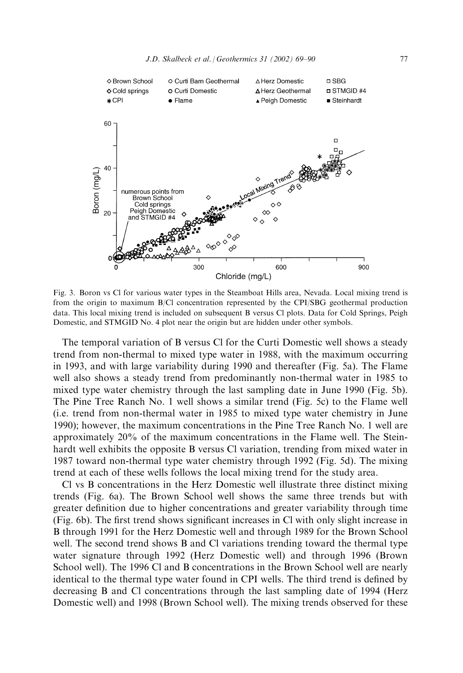

Fig. 3. Boron vs Cl for various water types in the Steamboat Hills area, Nevada. Local mixing trend is from the origin to maximum B/Cl concentration represented by the CPI/SBG geothermal production data. This local mixing trend is included on subsequent B versus Cl plots. Data for Cold Springs, Peigh Domestic, and STMGID No. 4 plot near the origin but are hidden under other symbols.

The temporal variation of B versus Cl for the Curti Domestic well shows a steady trend from non-thermal to mixed type water in 1988, with the maximum occurring in 1993, and with large variability during 1990 and thereafter (Fig. 5a). The Flame well also shows a steady trend from predominantly non-thermal water in 1985 to mixed type water chemistry through the last sampling date in June 1990 (Fig. 5b). The Pine Tree Ranch No. 1 well shows a similar trend (Fig. 5c) to the Flame well (i.e. trend from non-thermal water in 1985 to mixed type water chemistry in June 1990); however, the maximum concentrations in the Pine Tree Ranch No. 1 well are approximately 20% of the maximum concentrations in the Flame well. The Steinhardt well exhibits the opposite B versus Cl variation, trending from mixed water in 1987 toward non-thermal type water chemistry through 1992 (Fig. 5d). The mixing trend at each of these wells follows the local mixing trend for the study area.

Cl vs B concentrations in the Herz Domestic well illustrate three distinct mixing trends (Fig. 6a). The Brown School well shows the same three trends but with greater definition due to higher concentrations and greater variability through time (Fig. 6b). The first trend shows significant increases in Cl with only slight increase in B through 1991 for the Herz Domestic well and through 1989 for the Brown School well. The second trend shows B and Cl variations trending toward the thermal type water signature through 1992 (Herz Domestic well) and through 1996 (Brown School well). The 1996 Cl and B concentrations in the Brown School well are nearly identical to the thermal type water found in CPI wells. The third trend is defined by decreasing B and Cl concentrations through the last sampling date of 1994 (Herz Domestic well) and 1998 (Brown School well). The mixing trends observed for these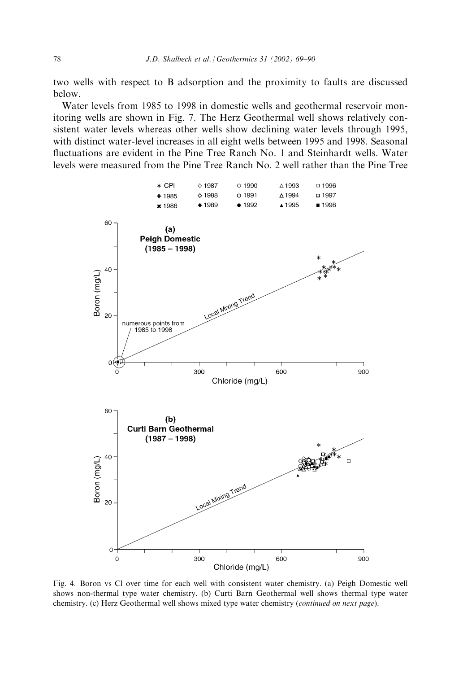two wells with respect to B adsorption and the proximity to faults are discussed below.

Water levels from 1985 to 1998 in domestic wells and geothermal reservoir monitoring wells are shown in Fig. 7. The Herz Geothermal well shows relatively consistent water levels whereas other wells show declining water levels through 1995, with distinct water-level increases in all eight wells between 1995 and 1998. Seasonal fluctuations are evident in the Pine Tree Ranch No. 1 and Steinhardt wells. Water levels were measured from the Pine Tree Ranch No. 2 well rather than the Pine Tree



Fig. 4. Boron vs Cl over time for each well with consistent water chemistry. (a) Peigh Domestic well shows non-thermal type water chemistry. (b) Curti Barn Geothermal well shows thermal type water chemistry. (c) Herz Geothermal well shows mixed type water chemistry (continued on next page).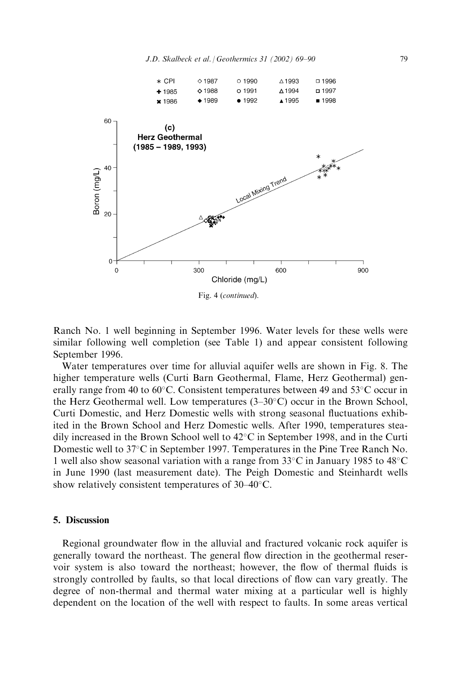

Ranch No. 1 well beginning in September 1996. Water levels for these wells were similar following well completion (see Table 1) and appear consistent following September 1996.

Water temperatures over time for alluvial aquifer wells are shown in Fig. 8. The higher temperature wells (Curti Barn Geothermal, Flame, Herz Geothermal) generally range from 40 to 60 $^{\circ}$ C. Consistent temperatures between 49 and 53 $^{\circ}$ C occur in the Herz Geothermal well. Low temperatures  $(3-30^{\circ}C)$  occur in the Brown School, Curti Domestic, and Herz Domestic wells with strong seasonal fluctuations exhibited in the Brown School and Herz Domestic wells. After 1990, temperatures steadily increased in the Brown School well to  $42^{\circ}$ C in September 1998, and in the Curti Domestic well to  $37^{\circ}$ C in September 1997. Temperatures in the Pine Tree Ranch No. 1 well also show seasonal variation with a range from  $33^{\circ}$ C in January 1985 to  $48^{\circ}$ C in June 1990 (last measurement date). The Peigh Domestic and Steinhardt wells show relatively consistent temperatures of  $30-40^{\circ}$ C.

## 5. Discussion

Regional groundwater flow in the alluvial and fractured volcanic rock aquifer is generally toward the northeast. The general flow direction in the geothermal reservoir system is also toward the northeast; however, the flow of thermal fluids is strongly controlled by faults, so that local directions of flow can vary greatly. The degree of non-thermal and thermal water mixing at a particular well is highly dependent on the location of the well with respect to faults. In some areas vertical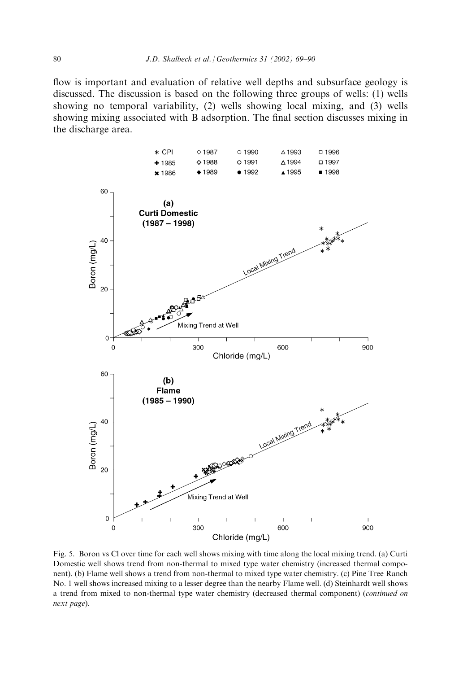flow is important and evaluation of relative well depths and subsurface geology is discussed. The discussion is based on the following three groups of wells: (1) wells showing no temporal variability, (2) wells showing local mixing, and (3) wells showing mixing associated with B adsorption. The final section discusses mixing in the discharge area.



Fig. 5. Boron vs Cl over time for each well shows mixing with time along the local mixing trend. (a) Curti Domestic well shows trend from non-thermal to mixed type water chemistry (increased thermal component). (b) Flame well shows a trend from non-thermal to mixed type water chemistry. (c) Pine Tree Ranch No. 1 well shows increased mixing to a lesser degree than the nearby Flame well. (d) Steinhardt well shows a trend from mixed to non-thermal type water chemistry (decreased thermal component) (continued on next page).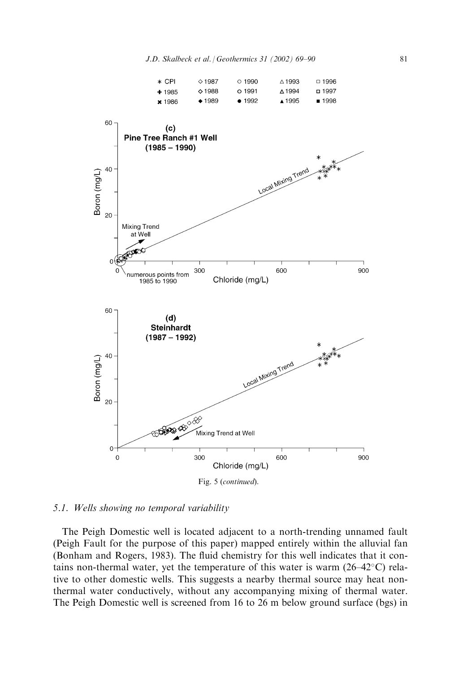

## 5.1. Wells showing no temporal variability

The Peigh Domestic well is located adjacent to a north-trending unnamed fault (Peigh Fault for the purpose of this paper) mapped entirely within the alluvial fan (Bonham and Rogers, 1983). The fluid chemistry for this well indicates that it contains non-thermal water, yet the temperature of this water is warm  $(26-42^{\circ}C)$  relative to other domestic wells. This suggests a nearby thermal source may heat nonthermal water conductively, without any accompanying mixing of thermal water. The Peigh Domestic well is screened from 16 to 26 m below ground surface (bgs) in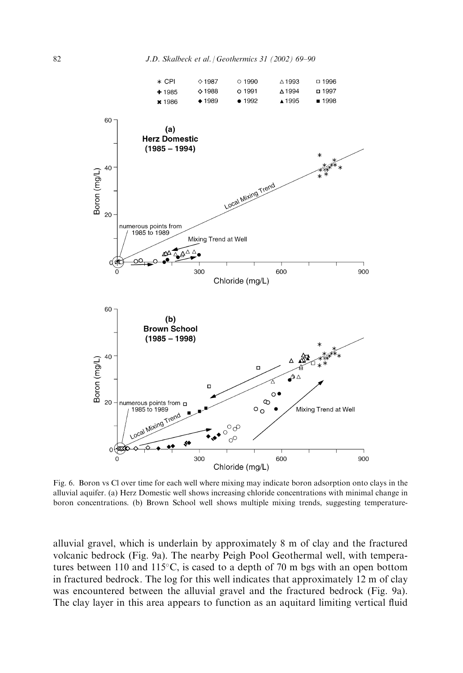

Fig. 6. Boron vs Cl over time for each well where mixing may indicate boron adsorption onto clays in the alluvial aquifer. (a) Herz Domestic well shows increasing chloride concentrations with minimal change in boron concentrations. (b) Brown School well shows multiple mixing trends, suggesting temperature-

alluvial gravel, which is underlain by approximately 8 m of clay and the fractured volcanic bedrock (Fig. 9a). The nearby Peigh Pool Geothermal well, with temperatures between 110 and 115 $\degree$ C, is cased to a depth of 70 m bgs with an open bottom in fractured bedrock. The log for this well indicates that approximately 12 m of clay was encountered between the alluvial gravel and the fractured bedrock (Fig. 9a). The clay layer in this area appears to function as an aquitard limiting vertical fluid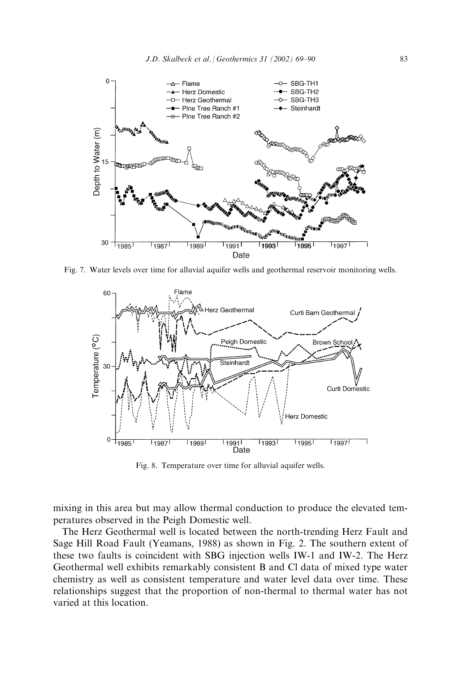

Fig. 7. Water levels over time for alluvial aquifer wells and geothermal reservoir monitoring wells.



Fig. 8. Temperature over time for alluvial aquifer wells.

mixing in this area but may allow thermal conduction to produce the elevated temperatures observed in the Peigh Domestic well.

The Herz Geothermal well is located between the north-trending Herz Fault and Sage Hill Road Fault (Yeamans, 1988) as shown in Fig. 2. The southern extent of these two faults is coincident with SBG injection wells IW-1 and IW-2. The Herz Geothermal well exhibits remarkably consistent B and Cl data of mixed type water chemistry as well as consistent temperature and water level data over time. These relationships suggest that the proportion of non-thermal to thermal water has not varied at this location.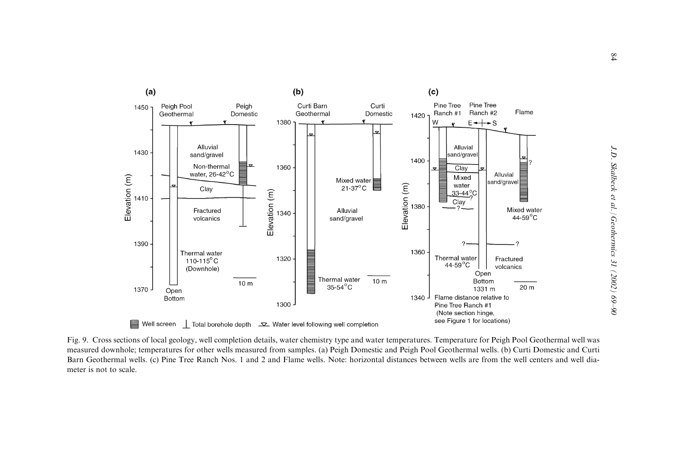

Fig. 9. Cross sections of local geology, well completion details, water chemistry type and water temperatures. Temperature for Peigh Pool Geothermal well was measured downhole; temperatures for other wells measured from samples. (a) Peigh Domestic and Peigh Pool Geothermal wells. (b) Curti Domestic and Curti Barn Geothermal wells. (c) Pine Tree Ranch Nos. 1 and 2 and Flame wells. Note: horizontal distances between wells are from the well centers and well diameter is not to scale.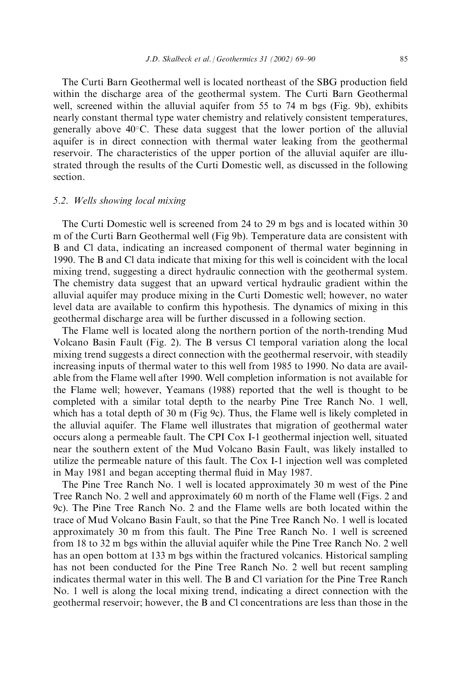The Curti Barn Geothermal well is located northeast of the SBG production field within the discharge area of the geothermal system. The Curti Barn Geothermal well, screened within the alluvial aquifer from 55 to 74 m bgs (Fig. 9b), exhibits nearly constant thermal type water chemistry and relatively consistent temperatures, generally above  $40^{\circ}$ C. These data suggest that the lower portion of the alluvial aquifer is in direct connection with thermal water leaking from the geothermal reservoir. The characteristics of the upper portion of the alluvial aquifer are illustrated through the results of the Curti Domestic well, as discussed in the following section.

## 5.2. Wells showing local mixing

The Curti Domestic well is screened from 24 to 29 m bgs and is located within 30 m of the Curti Barn Geothermal well (Fig 9b). Temperature data are consistent with B and Cl data, indicating an increased component of thermal water beginning in 1990. The B and Cl data indicate that mixing for this well is coincident with the local mixing trend, suggesting a direct hydraulic connection with the geothermal system. The chemistry data suggest that an upward vertical hydraulic gradient within the alluvial aquifer may produce mixing in the Curti Domestic well; however, no water level data are available to confirm this hypothesis. The dynamics of mixing in this geothermal discharge area will be further discussed in a following section.

The Flame well is located along the northern portion of the north-trending Mud Volcano Basin Fault (Fig. 2). The B versus Cl temporal variation along the local mixing trend suggests a direct connection with the geothermal reservoir, with steadily increasing inputs of thermal water to this well from 1985 to 1990. No data are available from the Flame well after 1990. Well completion information is not available for the Flame well; however, Yeamans (1988) reported that the well is thought to be completed with a similar total depth to the nearby Pine Tree Ranch No. 1 well, which has a total depth of 30 m (Fig 9c). Thus, the Flame well is likely completed in the alluvial aquifer. The Flame well illustrates that migration of geothermal water occurs along a permeable fault. The CPI Cox I-1 geothermal injection well, situated near the southern extent of the Mud Volcano Basin Fault, was likely installed to utilize the permeable nature of this fault. The Cox I-1 injection well was completed in May 1981 and began accepting thermal fluid in May 1987.

The Pine Tree Ranch No. 1 well is located approximately 30 m west of the Pine Tree Ranch No. 2 well and approximately 60 m north of the Flame well (Figs. 2 and 9c). The Pine Tree Ranch No. 2 and the Flame wells are both located within the trace of Mud Volcano Basin Fault, so that the Pine Tree Ranch No. 1 well is located approximately 30 m from this fault. The Pine Tree Ranch No. 1 well is screened from 18 to 32 m bgs within the alluvial aquifer while the Pine Tree Ranch No. 2 well has an open bottom at 133 m bgs within the fractured volcanics. Historical sampling has not been conducted for the Pine Tree Ranch No. 2 well but recent sampling indicates thermal water in this well. The B and Cl variation for the Pine Tree Ranch No. 1 well is along the local mixing trend, indicating a direct connection with the geothermal reservoir; however, the B and Cl concentrations are less than those in the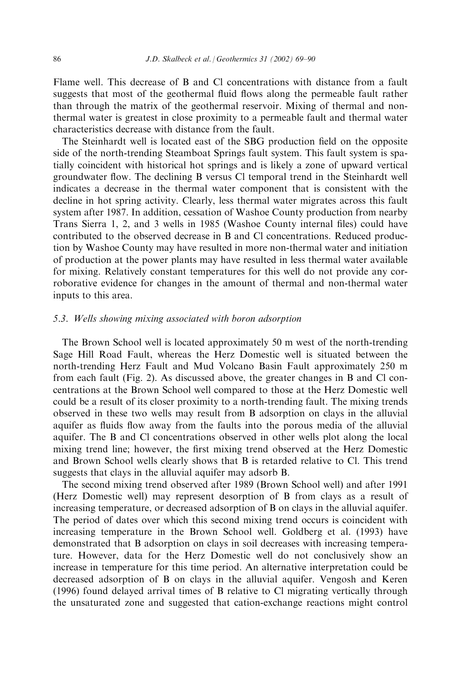Flame well. This decrease of B and Cl concentrations with distance from a fault suggests that most of the geothermal fluid flows along the permeable fault rather than through the matrix of the geothermal reservoir. Mixing of thermal and nonthermal water is greatest in close proximity to a permeable fault and thermal water characteristics decrease with distance from the fault.

The Steinhardt well is located east of the SBG production field on the opposite side of the north-trending Steamboat Springs fault system. This fault system is spatially coincident with historical hot springs and is likely a zone of upward vertical groundwater flow. The declining B versus Cl temporal trend in the Steinhardt well indicates a decrease in the thermal water component that is consistent with the decline in hot spring activity. Clearly, less thermal water migrates across this fault system after 1987. In addition, cessation of Washoe County production from nearby Trans Sierra 1, 2, and 3 wells in 1985 (Washoe County internal files) could have contributed to the observed decrease in B and Cl concentrations. Reduced production by Washoe County may have resulted in more non-thermal water and initiation of production at the power plants may have resulted in less thermal water available for mixing. Relatively constant temperatures for this well do not provide any corroborative evidence for changes in the amount of thermal and non-thermal water inputs to this area.

# 5.3. Wells showing mixing associated with boron adsorption

The Brown School well is located approximately 50 m west of the north-trending Sage Hill Road Fault, whereas the Herz Domestic well is situated between the north-trending Herz Fault and Mud Volcano Basin Fault approximately 250 m from each fault (Fig. 2). As discussed above, the greater changes in B and Cl concentrations at the Brown School well compared to those at the Herz Domestic well could be a result of its closer proximity to a north-trending fault. The mixing trends observed in these two wells may result from B adsorption on clays in the alluvial aquifer as fluids flow away from the faults into the porous media of the alluvial aquifer. The B and Cl concentrations observed in other wells plot along the local mixing trend line; however, the first mixing trend observed at the Herz Domestic and Brown School wells clearly shows that B is retarded relative to Cl. This trend suggests that clays in the alluvial aquifer may adsorb B.

The second mixing trend observed after 1989 (Brown School well) and after 1991 (Herz Domestic well) may represent desorption of B from clays as a result of increasing temperature, or decreased adsorption of B on clays in the alluvial aquifer. The period of dates over which this second mixing trend occurs is coincident with increasing temperature in the Brown School well. Goldberg et al. (1993) have demonstrated that B adsorption on clays in soil decreases with increasing temperature. However, data for the Herz Domestic well do not conclusively show an increase in temperature for this time period. An alternative interpretation could be decreased adsorption of B on clays in the alluvial aquifer. Vengosh and Keren (1996) found delayed arrival times of B relative to Cl migrating vertically through the unsaturated zone and suggested that cation-exchange reactions might control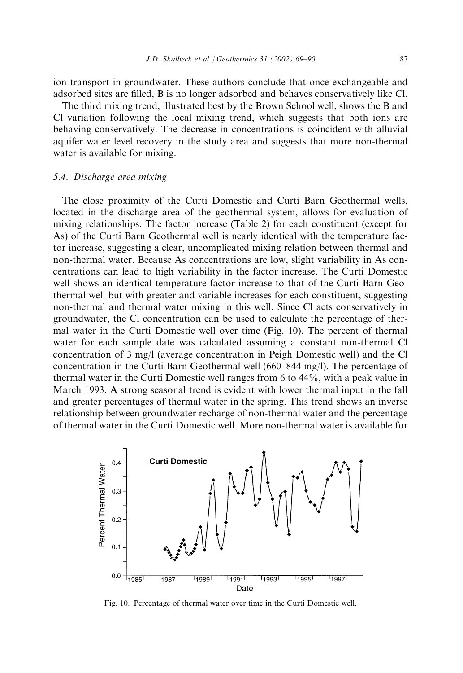ion transport in groundwater. These authors conclude that once exchangeable and adsorbed sites are filled, B is no longer adsorbed and behaves conservatively like Cl.

The third mixing trend, illustrated best by the Brown School well, shows the B and Cl variation following the local mixing trend, which suggests that both ions are behaving conservatively. The decrease in concentrations is coincident with alluvial aquifer water level recovery in the study area and suggests that more non-thermal water is available for mixing.

# 5.4. Discharge area mixing

The close proximity of the Curti Domestic and Curti Barn Geothermal wells, located in the discharge area of the geothermal system, allows for evaluation of mixing relationships. The factor increase (Table 2) for each constituent (except for As) of the Curti Barn Geothermal well is nearly identical with the temperature factor increase, suggesting a clear, uncomplicated mixing relation between thermal and non-thermal water. Because As concentrations are low, slight variability in As concentrations can lead to high variability in the factor increase. The Curti Domestic well shows an identical temperature factor increase to that of the Curti Barn Geothermal well but with greater and variable increases for each constituent, suggesting non-thermal and thermal water mixing in this well. Since Cl acts conservatively in groundwater, the Cl concentration can be used to calculate the percentage of thermal water in the Curti Domestic well over time (Fig. 10). The percent of thermal water for each sample date was calculated assuming a constant non-thermal Cl concentration of 3 mg/l (average concentration in Peigh Domestic well) and the Cl concentration in the Curti Barn Geothermal well (660–844 mg/l). The percentage of thermal water in the Curti Domestic well ranges from 6 to 44%, with a peak value in March 1993. A strong seasonal trend is evident with lower thermal input in the fall and greater percentages of thermal water in the spring. This trend shows an inverse relationship between groundwater recharge of non-thermal water and the percentage of thermal water in the Curti Domestic well. More non-thermal water is available for



Fig. 10. Percentage of thermal water over time in the Curti Domestic well.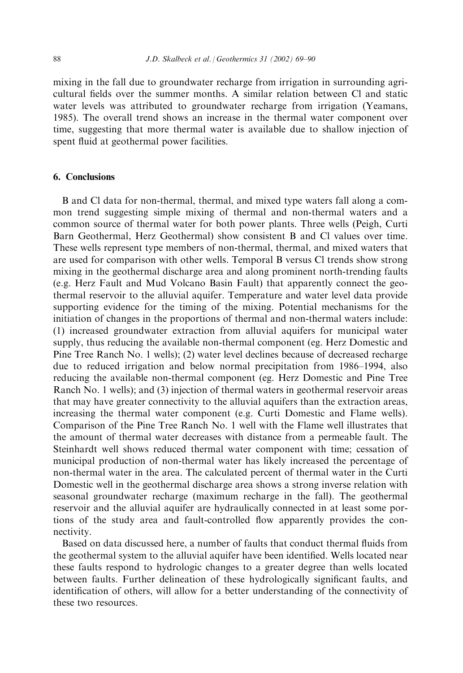mixing in the fall due to groundwater recharge from irrigation in surrounding agricultural fields over the summer months. A similar relation between Cl and static water levels was attributed to groundwater recharge from irrigation (Yeamans, 1985). The overall trend shows an increase in the thermal water component over time, suggesting that more thermal water is available due to shallow injection of spent fluid at geothermal power facilities.

## 6. Conclusions

B and Cl data for non-thermal, thermal, and mixed type waters fall along a common trend suggesting simple mixing of thermal and non-thermal waters and a common source of thermal water for both power plants. Three wells (Peigh, Curti Barn Geothermal, Herz Geothermal) show consistent B and Cl values over time. These wells represent type members of non-thermal, thermal, and mixed waters that are used for comparison with other wells. Temporal B versus Cl trends show strong mixing in the geothermal discharge area and along prominent north-trending faults (e.g. Herz Fault and Mud Volcano Basin Fault) that apparently connect the geothermal reservoir to the alluvial aquifer. Temperature and water level data provide supporting evidence for the timing of the mixing. Potential mechanisms for the initiation of changes in the proportions of thermal and non-thermal waters include: (1) increased groundwater extraction from alluvial aquifers for municipal water supply, thus reducing the available non-thermal component (eg. Herz Domestic and Pine Tree Ranch No. 1 wells); (2) water level declines because of decreased recharge due to reduced irrigation and below normal precipitation from 1986–1994, also reducing the available non-thermal component (eg. Herz Domestic and Pine Tree Ranch No. 1 wells); and (3) injection of thermal waters in geothermal reservoir areas that may have greater connectivity to the alluvial aquifers than the extraction areas, increasing the thermal water component (e.g. Curti Domestic and Flame wells). Comparison of the Pine Tree Ranch No. 1 well with the Flame well illustrates that the amount of thermal water decreases with distance from a permeable fault. The Steinhardt well shows reduced thermal water component with time; cessation of municipal production of non-thermal water has likely increased the percentage of non-thermal water in the area. The calculated percent of thermal water in the Curti Domestic well in the geothermal discharge area shows a strong inverse relation with seasonal groundwater recharge (maximum recharge in the fall). The geothermal reservoir and the alluvial aquifer are hydraulically connected in at least some portions of the study area and fault-controlled flow apparently provides the connectivity.

Based on data discussed here, a number of faults that conduct thermal fluids from the geothermal system to the alluvial aquifer have been identified. Wells located near these faults respond to hydrologic changes to a greater degree than wells located between faults. Further delineation of these hydrologically significant faults, and identification of others, will allow for a better understanding of the connectivity of these two resources.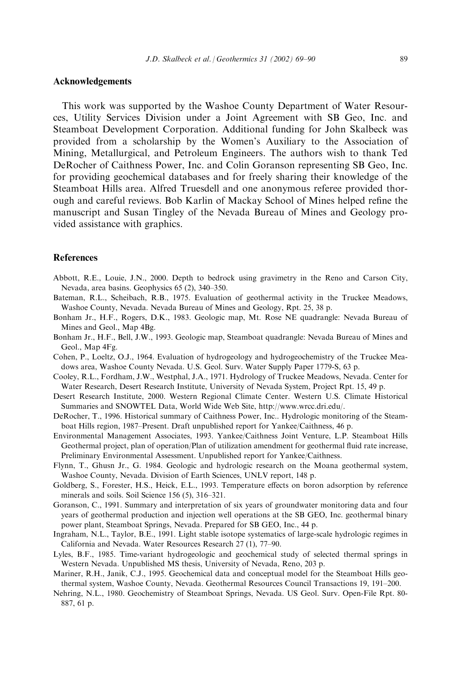## Acknowledgements

This work was supported by the Washoe County Department of Water Resources, Utility Services Division under a Joint Agreement with SB Geo, Inc. and Steamboat Development Corporation. Additional funding for John Skalbeck was provided from a scholarship by the Women's Auxiliary to the Association of Mining, Metallurgical, and Petroleum Engineers. The authors wish to thank Ted DeRocher of Caithness Power, Inc. and Colin Goranson representing SB Geo, Inc. for providing geochemical databases and for freely sharing their knowledge of the Steamboat Hills area. Alfred Truesdell and one anonymous referee provided thorough and careful reviews. Bob Karlin of Mackay School of Mines helped refine the manuscript and Susan Tingley of the Nevada Bureau of Mines and Geology provided assistance with graphics.

## References

- Abbott, R.E., Louie, J.N., 2000. Depth to bedrock using gravimetry in the Reno and Carson City, Nevada, area basins. Geophysics 65 (2), 340–350.
- Bateman, R.L., Scheibach, R.B., 1975. Evaluation of geothermal activity in the Truckee Meadows, Washoe County, Nevada. Nevada Bureau of Mines and Geology, Rpt. 25, 38 p.
- Bonham Jr., H.F., Rogers, D.K., 1983. Geologic map, Mt. Rose NE quadrangle: Nevada Bureau of Mines and Geol., Map 4Bg.
- Bonham Jr., H.F., Bell, J.W., 1993. Geologic map, Steamboat quadrangle: Nevada Bureau of Mines and Geol., Map 4Fg.
- Cohen, P., Loeltz, O.J., 1964. Evaluation of hydrogeology and hydrogeochemistry of the Truckee Meadows area, Washoe County Nevada. U.S. Geol. Surv. Water Supply Paper 1779-S, 63 p.
- Cooley, R.L., Fordham, J.W., Westphal, J.A., 1971. Hydrology of Truckee Meadows, Nevada. Center for Water Research, Desert Research Institute, University of Nevada System, Project Rpt. 15, 49 p.
- Desert Research Institute, 2000. Western Regional Climate Center. Western U.S. Climate Historical Summaries and SNOWTEL Data, World Wide Web Site, http://www.wrcc.dri.edu/.
- DeRocher, T., 1996. Historical summary of Caithness Power, Inc.. Hydrologic monitoring of the Steamboat Hills region, 1987–Present. Draft unpublished report for Yankee/Caithness, 46 p.
- Environmental Management Associates, 1993. Yankee/Caithness Joint Venture, L.P. Steamboat Hills Geothermal project, plan of operation/Plan of utilization amendment for geothermal fluid rate increase, Preliminary Environmental Assessment. Unpublished report for Yankee/Caithness.
- Flynn, T., Ghusn Jr., G. 1984. Geologic and hydrologic research on the Moana geothermal system, Washoe County, Nevada. Division of Earth Sciences, UNLV report, 148 p.
- Goldberg, S., Forester, H.S., Heick, E.L., 1993. Temperature effects on boron adsorption by reference minerals and soils. Soil Science 156 (5), 316–321.
- Goranson, C., 1991. Summary and interpretation of six years of groundwater monitoring data and four years of geothermal production and injection well operations at the SB GEO, Inc. geothermal binary power plant, Steamboat Springs, Nevada. Prepared for SB GEO, Inc., 44 p.
- Ingraham, N.L., Taylor, B.E., 1991. Light stable isotope systematics of large-scale hydrologic regimes in California and Nevada. Water Resources Research 27 (1), 77–90.
- Lyles, B.F., 1985. Time-variant hydrogeologic and geochemical study of selected thermal springs in Western Nevada. Unpublished MS thesis, University of Nevada, Reno, 203 p.
- Mariner, R.H., Janik, C.J., 1995. Geochemical data and conceptual model for the Steamboat Hills geothermal system, Washoe County, Nevada. Geothermal Resources Council Transactions 19, 191–200.
- Nehring, N.L., 1980. Geochemistry of Steamboat Springs, Nevada. US Geol. Surv. Open-File Rpt. 80- 887, 61 p.